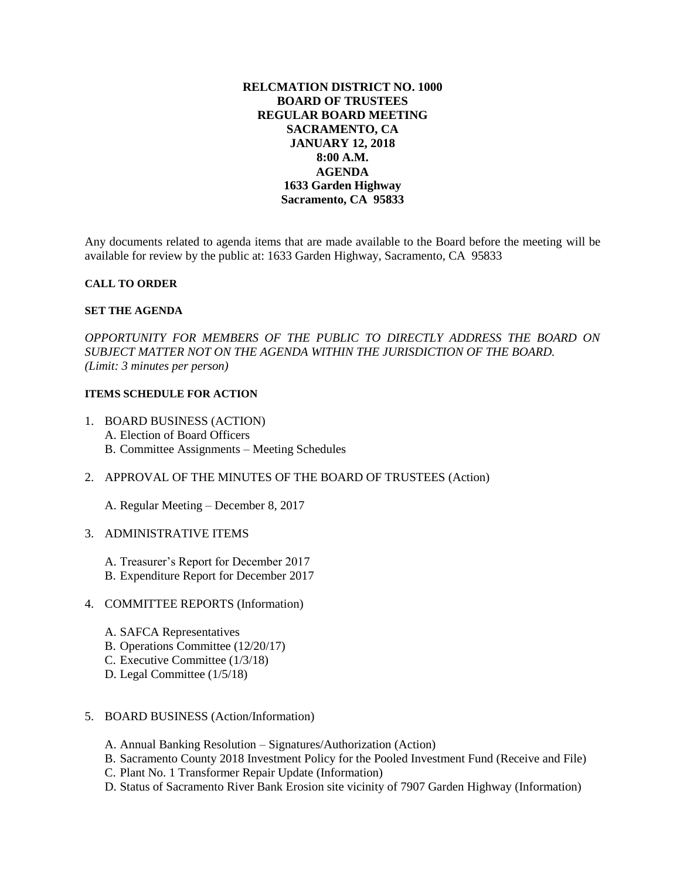# **RELCMATION DISTRICT NO. 1000 BOARD OF TRUSTEES REGULAR BOARD MEETING SACRAMENTO, CA JANUARY 12, 2018 8:00 A.M. AGENDA 1633 Garden Highway Sacramento, CA 95833**

Any documents related to agenda items that are made available to the Board before the meeting will be available for review by the public at: 1633 Garden Highway, Sacramento, CA 95833

### **CALL TO ORDER**

### **SET THE AGENDA**

*OPPORTUNITY FOR MEMBERS OF THE PUBLIC TO DIRECTLY ADDRESS THE BOARD ON SUBJECT MATTER NOT ON THE AGENDA WITHIN THE JURISDICTION OF THE BOARD. (Limit: 3 minutes per person)*

### **ITEMS SCHEDULE FOR ACTION**

- 1. BOARD BUSINESS (ACTION) A. Election of Board Officers B. Committee Assignments – Meeting Schedules
- 2. APPROVAL OF THE MINUTES OF THE BOARD OF TRUSTEES (Action)

A. Regular Meeting – December 8, 2017

- 3. ADMINISTRATIVE ITEMS
	- A. Treasurer's Report for December 2017
	- B. Expenditure Report for December 2017
- 4. COMMITTEE REPORTS (Information)
	- A. SAFCA Representatives
	- B. Operations Committee (12/20/17)
	- C. Executive Committee (1/3/18)
	- D. Legal Committee (1/5/18)
- 5. BOARD BUSINESS (Action/Information)
	- A. Annual Banking Resolution Signatures/Authorization (Action)
	- B. Sacramento County 2018 Investment Policy for the Pooled Investment Fund (Receive and File)
	- C. Plant No. 1 Transformer Repair Update (Information)
	- D. Status of Sacramento River Bank Erosion site vicinity of 7907 Garden Highway (Information)